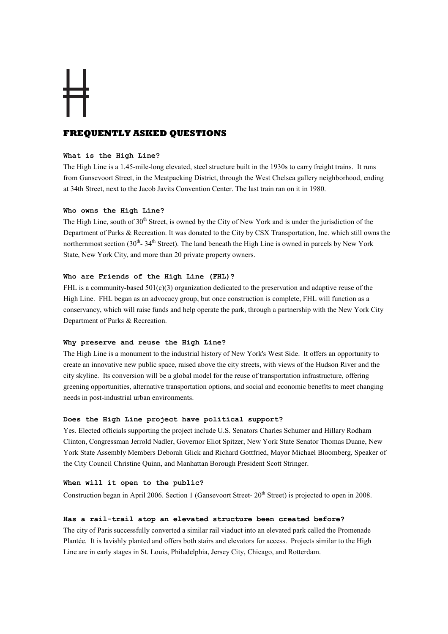# **FREQUENTLY ASKED QUESTIONS**

# What is the High Line?

The High Line is a 1.45-mile-long elevated, steel structure built in the 1930s to carry freight trains. It runs from Gansevoort Street, in the Meatpacking District, through the West Chelsea gallery neighborhood, ending at 34th Street, next to the Jacob Javits Convention Center. The last train ran on it in 1980.

# Who owns the High Line?

The High Line, south of  $30<sup>th</sup>$  Street, is owned by the City of New York and is under the jurisdiction of the Department of Parks & Recreation. It was donated to the City by CSX Transportation, Inc. which still owns the northernmost section  $(30<sup>th</sup> - 34<sup>th</sup>$  Street). The land beneath the High Line is owned in parcels by New York State, New York City, and more than 20 private property owners.

# Who are Friends of the High Line (FHL)?

FHL is a community-based  $501(c)(3)$  organization dedicated to the preservation and adaptive reuse of the High Line. FHL began as an advocacy group, but once construction is complete, FHL will function as a conservancy, which will raise funds and help operate the park, through a partnership with the New York City Department of Parks & Recreation.

# Why preserve and reuse the High Line?

The High Line is a monument to the industrial history of New York's West Side. It offers an opportunity to create an innovative new public space, raised above the city streets, with views of the Hudson River and the city skyline. Its conversion will be a global model for the reuse of transportation infrastructure, offering greening opportunities, alternative transportation options, and social and economic benefits to meet changing needs in post-industrial urban environments.

# Does the High Line project have political support?

Yes. Elected officials supporting the project include U.S. Senators Charles Schumer and Hillary Rodham Clinton, Congressman Jerrold Nadler, Governor Eliot Spitzer, New York State Senator Thomas Duane, New York State Assembly Members Deborah Glick and Richard Gottfried, Mayor Michael Bloomberg, Speaker of the City Council Christine Quinn, and Manhattan Borough President Scott Stringer.

# When will it open to the public?

Construction began in April 2006. Section 1 (Gansevoort Street-  $20^{th}$  Street) is projected to open in 2008.

### Has a rail-trail atop an elevated structure been created before?

The city of Paris successfully converted a similar rail viaduct into an elevated park called the Promenade Plantée. It is lavishly planted and offers both stairs and elevators for access. Projects similar to the High Line are in early stages in St. Louis, Philadelphia, Jersey City, Chicago, and Rotterdam.